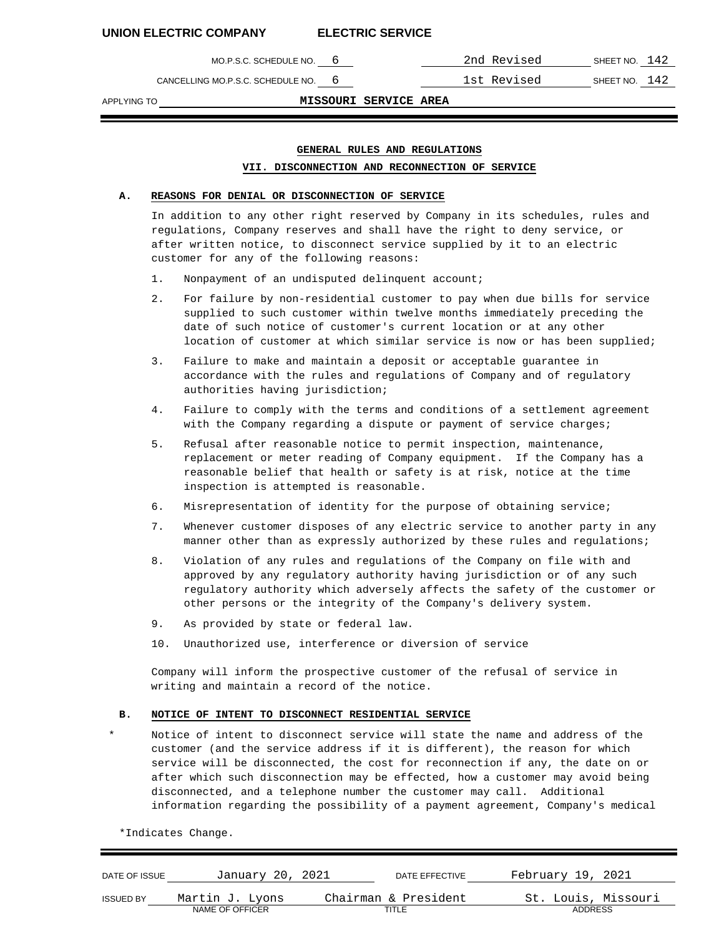CANCELLING MO.P.S.C. SCHEDULE NO. 6 1st Revised SHEET NO. 142

MO.P.S.C. SCHEDULE NO. 6 2nd Revised SHEET NO. 142

APPLYING TO **MISSOURI SERVICE AREA**

# **GENERAL RULES AND REGULATIONS VII. DISCONNECTION AND RECONNECTION OF SERVICE**

# **A. REASONS FOR DENIAL OR DISCONNECTION OF SERVICE**

In addition to any other right reserved by Company in its schedules, rules and regulations, Company reserves and shall have the right to deny service, or after written notice, to disconnect service supplied by it to an electric customer for any of the following reasons:

- 1. Nonpayment of an undisputed delinquent account;
- 2. For failure by non-residential customer to pay when due bills for service supplied to such customer within twelve months immediately preceding the date of such notice of customer's current location or at any other location of customer at which similar service is now or has been supplied;
- 3. Failure to make and maintain a deposit or acceptable guarantee in accordance with the rules and regulations of Company and of regulatory authorities having jurisdiction;
- 4. Failure to comply with the terms and conditions of a settlement agreement with the Company regarding a dispute or payment of service charges;
- 5. Refusal after reasonable notice to permit inspection, maintenance, replacement or meter reading of Company equipment. If the Company has a reasonable belief that health or safety is at risk, notice at the time inspection is attempted is reasonable.
- 6. Misrepresentation of identity for the purpose of obtaining service;
- 7. Whenever customer disposes of any electric service to another party in any manner other than as expressly authorized by these rules and regulations;
- 8. Violation of any rules and regulations of the Company on file with and approved by any regulatory authority having jurisdiction or of any such regulatory authority which adversely affects the safety of the customer or other persons or the integrity of the Company's delivery system.
- 9. As provided by state or federal law.
- 10. Unauthorized use, interference or diversion of service

Company will inform the prospective customer of the refusal of service in writing and maintain a record of the notice.

### **B. NOTICE OF INTENT TO DISCONNECT RESIDENTIAL SERVICE**

Notice of intent to disconnect service will state the name and address of the customer (and the service address if it is different), the reason for which service will be disconnected, the cost for reconnection if any, the date on or after which such disconnection may be effected, how a customer may avoid being disconnected, and a telephone number the customer may call. Additional information regarding the possibility of a payment agreement, Company's medical

\*Indicates Change.

| DATE OF ISSUE    | January 20, 2021 | DATE EFFECTIVE       | February 19, 2021   |
|------------------|------------------|----------------------|---------------------|
| <b>ISSUED BY</b> | Martin J. Lyons  | Chairman & President | St. Louis, Missouri |
|                  | NAME OF OFFICER  | TITLE                | <b>ADDRESS</b>      |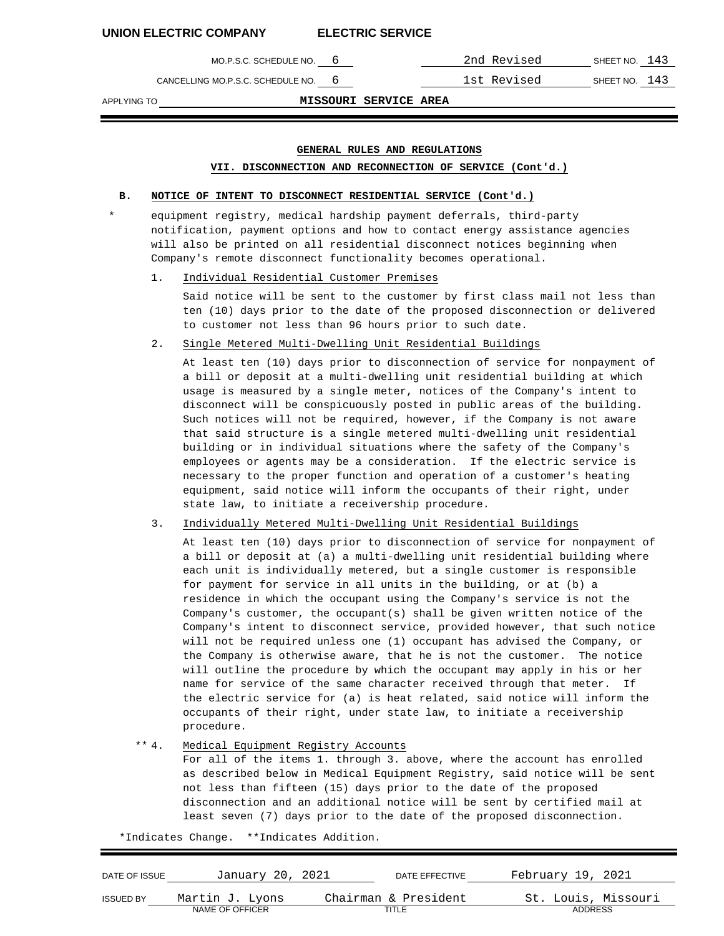MO.P.S.C. SCHEDULE NO. 6 2nd Revised SHEET NO. 143

CANCELLING MO.P.S.C. SCHEDULE NO. 6 1st Revised SHEET NO. 143

APPLYING TO **MISSOURI SERVICE AREA**

# **GENERAL RULES AND REGULATIONS**

### **VII. DISCONNECTION AND RECONNECTION OF SERVICE (Cont'd.)**

### **B. NOTICE OF INTENT TO DISCONNECT RESIDENTIAL SERVICE (Cont'd.)**

equipment registry, medical hardship payment deferrals, third-party notification, payment options and how to contact energy assistance agencies will also be printed on all residential disconnect notices beginning when Company's remote disconnect functionality becomes operational.

1. Individual Residential Customer Premises

Said notice will be sent to the customer by first class mail not less than ten (10) days prior to the date of the proposed disconnection or delivered to customer not less than 96 hours prior to such date.

2. Single Metered Multi-Dwelling Unit Residential Buildings

At least ten (10) days prior to disconnection of service for nonpayment of a bill or deposit at a multi-dwelling unit residential building at which usage is measured by a single meter, notices of the Company's intent to disconnect will be conspicuously posted in public areas of the building. Such notices will not be required, however, if the Company is not aware that said structure is a single metered multi-dwelling unit residential building or in individual situations where the safety of the Company's employees or agents may be a consideration. If the electric service is necessary to the proper function and operation of a customer's heating equipment, said notice will inform the occupants of their right, under state law, to initiate a receivership procedure.

3. Individually Metered Multi-Dwelling Unit Residential Buildings

At least ten (10) days prior to disconnection of service for nonpayment of a bill or deposit at (a) a multi-dwelling unit residential building where each unit is individually metered, but a single customer is responsible for payment for service in all units in the building, or at (b) a residence in which the occupant using the Company's service is not the Company's customer, the occupant(s) shall be given written notice of the Company's intent to disconnect service, provided however, that such notice will not be required unless one (1) occupant has advised the Company, or the Company is otherwise aware, that he is not the customer. The notice will outline the procedure by which the occupant may apply in his or her name for service of the same character received through that meter. If the electric service for (a) is heat related, said notice will inform the occupants of their right, under state law, to initiate a receivership procedure.

#### \*\* 4. Medical Equipment Registry Accounts

For all of the items 1. through 3. above, where the account has enrolled as described below in Medical Equipment Registry, said notice will be sent not less than fifteen (15) days prior to the date of the proposed disconnection and an additional notice will be sent by certified mail at least seven (7) days prior to the date of the proposed disconnection.

\*Indicates Change. \*\*Indicates Addition.

| DATE OF ISSUE    | January 20, 2021 | DATE EFFECTIVE       | February 19, 2021   |
|------------------|------------------|----------------------|---------------------|
| <b>ISSUED BY</b> | Martin J. Lyons  | Chairman & President | St. Louis, Missouri |
|                  | NAME OF OFFICER  | TITLE                | <b>ADDRESS</b>      |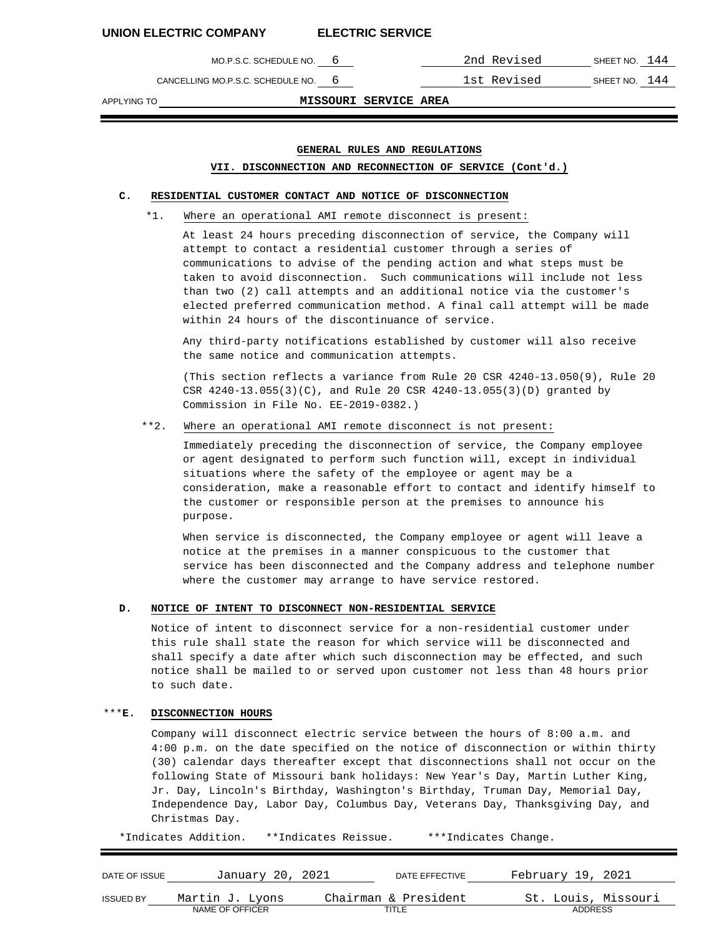MO.P.S.C. SCHEDULE NO. 6 2nd Revised SHEET NO. 144

CANCELLING MO.P.S.C. SCHEDULE NO. 6 1st Revised SHEET NO. 144

APPLYING TO **MISSOURI SERVICE AREA**

# **GENERAL RULES AND REGULATIONS**

### **VII. DISCONNECTION AND RECONNECTION OF SERVICE (Cont'd.)**

#### **C. RESIDENTIAL CUSTOMER CONTACT AND NOTICE OF DISCONNECTION**

\*1. Where an operational AMI remote disconnect is present:

At least 24 hours preceding disconnection of service, the Company will attempt to contact a residential customer through a series of communications to advise of the pending action and what steps must be taken to avoid disconnection. Such communications will include not less than two (2) call attempts and an additional notice via the customer's elected preferred communication method. A final call attempt will be made within 24 hours of the discontinuance of service.

Any third-party notifications established by customer will also receive the same notice and communication attempts.

(This section reflects a variance from Rule 20 CSR 4240-13.050(9), Rule 20 CSR 4240-13.055(3)(C), and Rule 20 CSR 4240-13.055(3)(D) granted by Commission in File No. EE-2019-0382.)

### \*\*2. Where an operational AMI remote disconnect is not present:

Immediately preceding the disconnection of service, the Company employee or agent designated to perform such function will, except in individual situations where the safety of the employee or agent may be a consideration, make a reasonable effort to contact and identify himself to the customer or responsible person at the premises to announce his purpose.

When service is disconnected, the Company employee or agent will leave a notice at the premises in a manner conspicuous to the customer that service has been disconnected and the Company address and telephone number where the customer may arrange to have service restored.

#### **D. NOTICE OF INTENT TO DISCONNECT NON-RESIDENTIAL SERVICE**

Notice of intent to disconnect service for a non-residential customer under this rule shall state the reason for which service will be disconnected and shall specify a date after which such disconnection may be effected, and such notice shall be mailed to or served upon customer not less than 48 hours prior to such date.

### \*\*\***E. DISCONNECTION HOURS**

Company will disconnect electric service between the hours of 8:00 a.m. and 4:00 p.m. on the date specified on the notice of disconnection or within thirty (30) calendar days thereafter except that disconnections shall not occur on the following State of Missouri bank holidays: New Year's Day, Martin Luther King, Jr. Day, Lincoln's Birthday, Washington's Birthday, Truman Day, Memorial Day, Independence Day, Labor Day, Columbus Day, Veterans Day, Thanksgiving Day, and Christmas Day.

\*Indicates Addition. \*\*Indicates Reissue. \*\*\*Indicates Change.

| DATE OF ISSUE    | January 20, 2021 | DATE EFFECTIVE       | February 19, 2021   |
|------------------|------------------|----------------------|---------------------|
| <b>ISSUED BY</b> | Martin J. Lyons  | Chairman & President | St. Louis, Missouri |
|                  | NAME OF OFFICER  | TITLE                | <b>ADDRESS</b>      |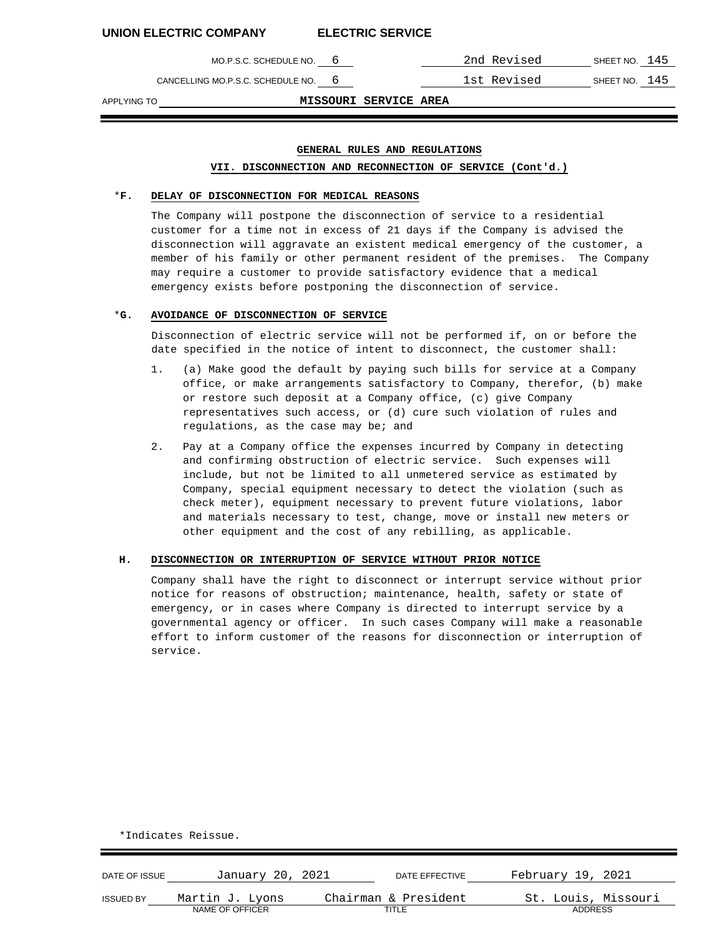CANCELLING MO.P.S.C. SCHEDULE NO. 6 1st Revised SHEET NO. 145

MO.P.S.C. SCHEDULE NO. 6 2nd Revised SHEET NO. 145

APPLYING TO **MISSOURI SERVICE AREA**

## **GENERAL RULES AND REGULATIONS**

### **VII. DISCONNECTION AND RECONNECTION OF SERVICE (Cont'd.)**

#### \***F. DELAY OF DISCONNECTION FOR MEDICAL REASONS**

The Company will postpone the disconnection of service to a residential customer for a time not in excess of 21 days if the Company is advised the disconnection will aggravate an existent medical emergency of the customer, a member of his family or other permanent resident of the premises. The Company may require a customer to provide satisfactory evidence that a medical emergency exists before postponing the disconnection of service.

#### \***G. AVOIDANCE OF DISCONNECTION OF SERVICE**

Disconnection of electric service will not be performed if, on or before the date specified in the notice of intent to disconnect, the customer shall:

- 1. (a) Make good the default by paying such bills for service at a Company office, or make arrangements satisfactory to Company, therefor, (b) make or restore such deposit at a Company office, (c) give Company representatives such access, or (d) cure such violation of rules and regulations, as the case may be; and
- 2. Pay at a Company office the expenses incurred by Company in detecting and confirming obstruction of electric service. Such expenses will include, but not be limited to all unmetered service as estimated by Company, special equipment necessary to detect the violation (such as check meter), equipment necessary to prevent future violations, labor and materials necessary to test, change, move or install new meters or other equipment and the cost of any rebilling, as applicable.

## **H. DISCONNECTION OR INTERRUPTION OF SERVICE WITHOUT PRIOR NOTICE**

Company shall have the right to disconnect or interrupt service without prior notice for reasons of obstruction; maintenance, health, safety or state of emergency, or in cases where Company is directed to interrupt service by a governmental agency or officer. In such cases Company will make a reasonable effort to inform customer of the reasons for disconnection or interruption of service.

| DATE OF ISSUE    | January 20, 2021 | DATE EFFECTIVE       | February 19, 2021   |
|------------------|------------------|----------------------|---------------------|
| <b>ISSUED BY</b> | Martin J. Lyons  | Chairman & President | St. Louis, Missouri |
|                  | NAME OF OFFICER  | TITLE                | <b>ADDRESS</b>      |

\*Indicates Reissue.